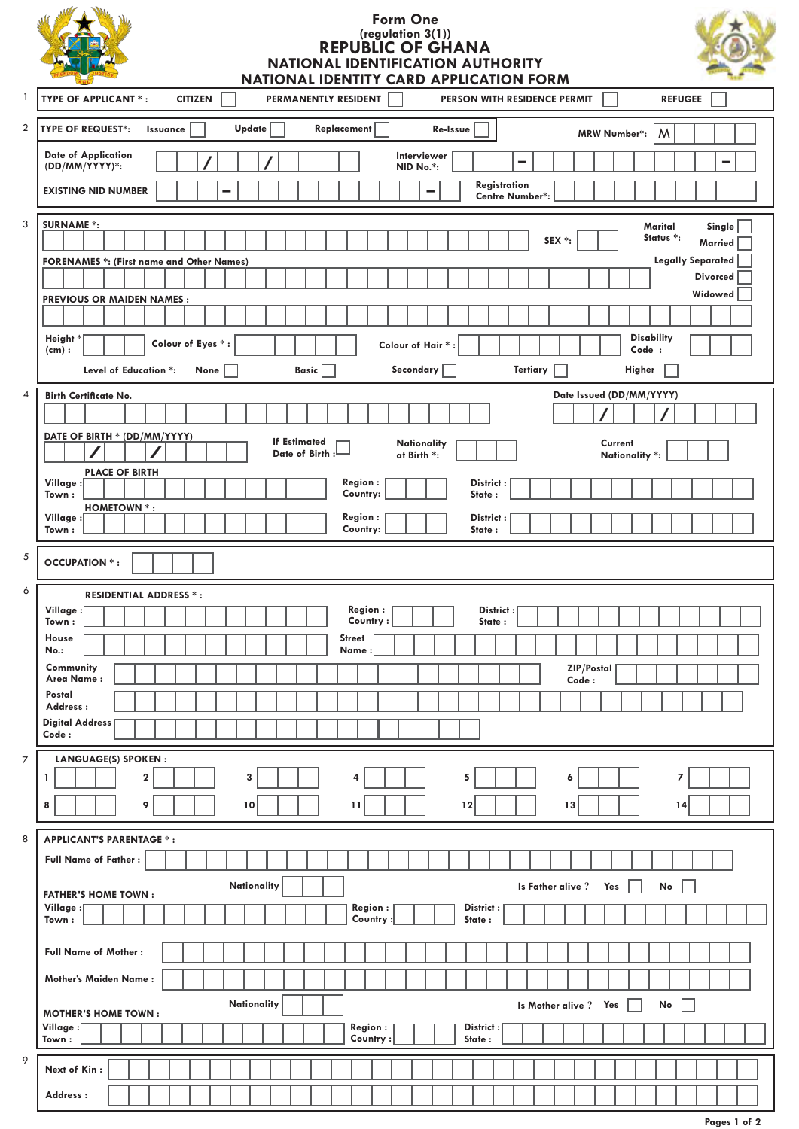| $\mathbf{1}$            | <b>Form One</b><br>(regulation 3(1))<br>REPUBLIC OF GHANA<br><b>NATIONAL IDENTIFICATION AUTHORITY</b><br>NATIONAL IDENTITY CARD APPLICATION FORM<br><b>TYPE OF APPLICANT *:</b><br><b>CITIZEN</b><br>PERMANENTLY RESIDENT<br><b>REFUGEE</b><br>PERSON WITH RESIDENCE PERMIT                                                                  |
|-------------------------|----------------------------------------------------------------------------------------------------------------------------------------------------------------------------------------------------------------------------------------------------------------------------------------------------------------------------------------------|
|                         |                                                                                                                                                                                                                                                                                                                                              |
| $\overline{\mathbf{c}}$ | <b>TYPE OF REQUEST*:</b><br>Update<br>Replacement<br>Issuance<br>Re-Issue<br>M<br><b>MRW Number*:</b><br><b>Date of Application</b><br>Interviewer<br>-<br>(DD/MM/YYYY)*:<br>NID No.*:<br>Registration<br><b>EXISTING NID NUMBER</b><br>-<br><b>Centre Number*:</b>                                                                          |
| 3                       |                                                                                                                                                                                                                                                                                                                                              |
|                         | <b>SURNAME *:</b><br>Marital<br>Single<br>Status *:<br>SEX *:<br>Married<br><b>Legally Separated</b><br><b>FORENAMES *: (First name and Other Names)</b><br><b>Divorced</b><br>Widowed<br><b>PREVIOUS OR MAIDEN NAMES:</b><br><b>Disability</b><br>Height <sup>*</sup><br>Colour of Eyes *:<br>Colour of Hair*<br>Code :<br>(cm):            |
|                         | Secondary<br><b>Tertiary</b><br>Higher<br>Basic  <br>Level of Education *:<br>None                                                                                                                                                                                                                                                           |
| 4                       | Date Issued (DD/MM/YYYY)<br><b>Birth Certificate No.</b>                                                                                                                                                                                                                                                                                     |
|                         | DATE OF BIRTH * (DD/MM/YYYY)<br><b>If Estimated</b><br><b>Nationality</b><br>Current<br>Date of Birth:<br>at Birth *:<br>Nationality *:<br><b>PLACE OF BIRTH</b><br>Village:<br><b>Region:</b><br>District:<br>Country:<br>State:<br>Town:<br><b>HOMETOWN *:</b><br><b>Region:</b><br>Village :<br>District:<br>Country:<br>State:<br>Town : |
| 5                       | <b>OCCUPATION *:</b>                                                                                                                                                                                                                                                                                                                         |
| 6                       | <b>RESIDENTIAL ADDRESS *:</b>                                                                                                                                                                                                                                                                                                                |
|                         | <b>Region:</b><br>District:<br>Village:<br>Country:<br>State:<br>Town:<br>House<br><b>Street</b><br>No.:<br>Name<br>Community<br>ZIP/Postal<br>Area Name:<br>Code:<br>Postal<br>Address:<br><b>Digital Address</b><br>Code:                                                                                                                  |
| 7                       | <b>LANGUAGE(S) SPOKEN:</b>                                                                                                                                                                                                                                                                                                                   |
|                         | $\bf{2}$<br>3<br>1<br>5<br>7<br>4<br>6<br>8<br>9<br>10<br>11<br>12<br>13<br>14                                                                                                                                                                                                                                                               |
| 8                       | <b>APPLICANT'S PARENTAGE *:</b>                                                                                                                                                                                                                                                                                                              |
|                         | <b>Full Name of Father:</b><br>Nationality<br>Is Father alive?<br>Yes<br>No<br><b>FATHER'S HOME TOWN:</b><br>Village:<br><b>Region:</b><br>District:<br>Country<br>State:<br>Town:                                                                                                                                                           |
|                         | <b>Full Name of Mother:</b>                                                                                                                                                                                                                                                                                                                  |
|                         | <b>Mother's Maiden Name:</b>                                                                                                                                                                                                                                                                                                                 |
|                         | Nationality<br>Is Mother alive?<br>Yes<br>No<br><b>MOTHER'S HOME TOWN:</b>                                                                                                                                                                                                                                                                   |
|                         | <b>Region:</b><br>Village :[<br>District:<br>State:<br>Town:<br>Country:                                                                                                                                                                                                                                                                     |
| 9                       | Next of Kin:                                                                                                                                                                                                                                                                                                                                 |
|                         | Address:                                                                                                                                                                                                                                                                                                                                     |

**Pages 1 of 2**